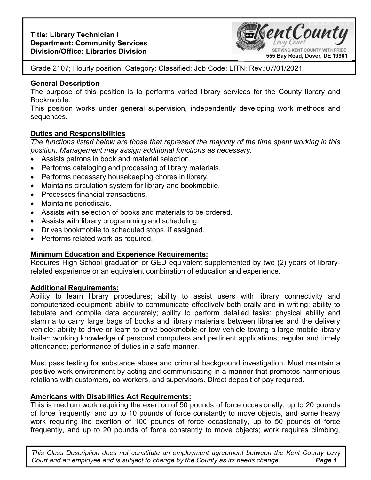

Grade 2107; Hourly position; Category: Classified; Job Code: LITN; Rev.:07/01/2021

### **General Description**

The purpose of this position is to performs varied library services for the County library and Bookmobile.

This position works under general supervision, independently developing work methods and sequences.

# **Duties and Responsibilities**

*The functions listed below are those that represent the majority of the time spent working in this position. Management may assign additional functions as necessary.* 

- Assists patrons in book and material selection.
- Performs cataloging and processing of library materials.
- Performs necessary housekeeping chores in library.
- Maintains circulation system for library and bookmobile.
- Processes financial transactions.
- Maintains periodicals.
- Assists with selection of books and materials to be ordered.
- Assists with library programming and scheduling.
- Drives bookmobile to scheduled stops, if assigned.
- Performs related work as required.

# **Minimum Education and Experience Requirements:**

Requires High School graduation or GED equivalent supplemented by two (2) years of libraryrelated experience or an equivalent combination of education and experience.

### **Additional Requirements:**

Ability to learn library procedures; ability to assist users with library connectivity and computerized equipment; ability to communicate effectively both orally and in writing; ability to tabulate and compile data accurately; ability to perform detailed tasks; physical ability and stamina to carry large bags of books and library materials between libraries and the delivery vehicle; ability to drive or learn to drive bookmobile or tow vehicle towing a large mobile library trailer; working knowledge of personal computers and pertinent applications; regular and timely attendance; performance of duties in a safe manner.

Must pass testing for substance abuse and criminal background investigation. Must maintain a positive work environment by acting and communicating in a manner that promotes harmonious relations with customers, co-workers, and supervisors. Direct deposit of pay required.

# **Americans with Disabilities Act Requirements:**

This is medium work requiring the exertion of 50 pounds of force occasionally, up to 20 pounds of force frequently, and up to 10 pounds of force constantly to move objects, and some heavy work requiring the exertion of 100 pounds of force occasionally, up to 50 pounds of force frequently, and up to 20 pounds of force constantly to move objects; work requires climbing,

**Page 1** *This Class Description does not constitute an employment agreement between the Kent County Levy Court and an employee and is subject to change by the County as its needs change.*